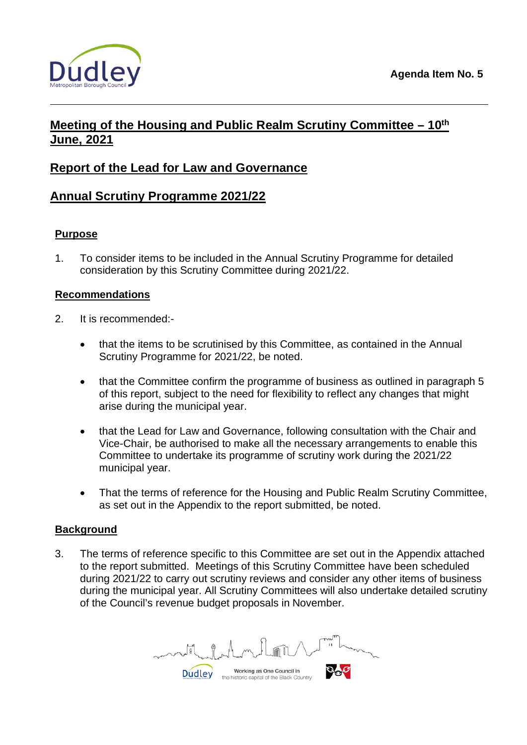



# **Meeting of the Housing and Public Realm Scrutiny Committee – 10th June, 2021**

# **Report of the Lead for Law and Governance**

# **Annual Scrutiny Programme 2021/22**

## **Purpose**

1. To consider items to be included in the Annual Scrutiny Programme for detailed consideration by this Scrutiny Committee during 2021/22.

## **Recommendations**

- 2. It is recommended:-
	- that the items to be scrutinised by this Committee, as contained in the Annual Scrutiny Programme for 2021/22, be noted.
	- that the Committee confirm the programme of business as outlined in paragraph 5 of this report, subject to the need for flexibility to reflect any changes that might arise during the municipal year.
	- that the Lead for Law and Governance, following consultation with the Chair and Vice-Chair, be authorised to make all the necessary arrangements to enable this Committee to undertake its programme of scrutiny work during the 2021/22 municipal year.
	- That the terms of reference for the Housing and Public Realm Scrutiny Committee, as set out in the Appendix to the report submitted, be noted.

## **Background**

3. The terms of reference specific to this Committee are set out in the Appendix attached to the report submitted. Meetings of this Scrutiny Committee have been scheduled during 2021/22 to carry out scrutiny reviews and consider any other items of business during the municipal year. All Scrutiny Committees will also undertake detailed scrutiny of the Council's revenue budget proposals in November.

Working as One Council in **Dudley** the historic capital of the Black Country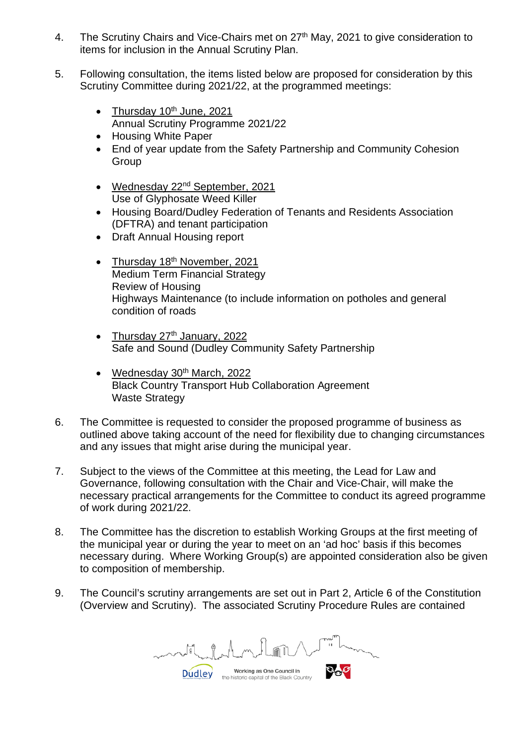- 4. The Scrutiny Chairs and Vice-Chairs met on 27<sup>th</sup> May, 2021 to give consideration to items for inclusion in the Annual Scrutiny Plan.
- 5. Following consultation, the items listed below are proposed for consideration by this Scrutiny Committee during 2021/22, at the programmed meetings:
	- Thursday  $10^{th}$  June, 2021 Annual Scrutiny Programme 2021/22
	- Housing White Paper
	- End of year update from the Safety Partnership and Community Cohesion **Group**
	- Wednesday 22<sup>nd</sup> September, 2021 Use of Glyphosate Weed Killer
	- Housing Board/Dudley Federation of Tenants and Residents Association (DFTRA) and tenant participation
	- Draft Annual Housing report
	- Thursday  $18<sup>th</sup>$  November, 2021 Medium Term Financial Strategy Review of Housing Highways Maintenance (to include information on potholes and general condition of roads
	- Thursday  $27<sup>th</sup>$  January, 2022 Safe and Sound (Dudley Community Safety Partnership
	- Wednesday 30<sup>th</sup> March, 2022 Black Country Transport Hub Collaboration Agreement Waste Strategy
- 6. The Committee is requested to consider the proposed programme of business as outlined above taking account of the need for flexibility due to changing circumstances and any issues that might arise during the municipal year.
- 7. Subject to the views of the Committee at this meeting, the Lead for Law and Governance, following consultation with the Chair and Vice-Chair, will make the necessary practical arrangements for the Committee to conduct its agreed programme of work during 2021/22.
- 8. The Committee has the discretion to establish Working Groups at the first meeting of the municipal year or during the year to meet on an 'ad hoc' basis if this becomes necessary during. Where Working Group(s) are appointed consideration also be given to composition of membership.
- 9. The Council's scrutiny arrangements are set out in Part 2, Article 6 of the Constitution (Overview and Scrutiny). The associated Scrutiny Procedure Rules are contained

Working as One Council in **Dudley** the historic capital of the Black Country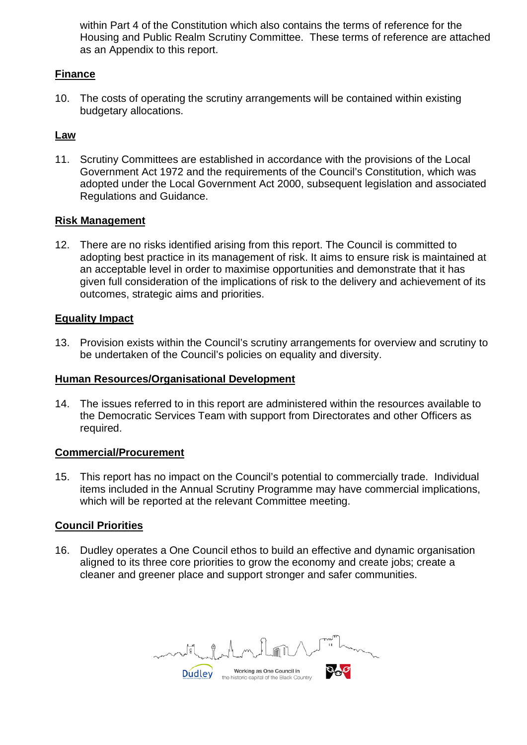within Part 4 of the Constitution which also contains the terms of reference for the Housing and Public Realm Scrutiny Committee. These terms of reference are attached as an Appendix to this report.

## **Finance**

10. The costs of operating the scrutiny arrangements will be contained within existing budgetary allocations.

## **Law**

11. Scrutiny Committees are established in accordance with the provisions of the Local Government Act 1972 and the requirements of the Council's Constitution, which was adopted under the Local Government Act 2000, subsequent legislation and associated Regulations and Guidance.

#### **Risk Management**

12. There are no risks identified arising from this report. The Council is committed to adopting best practice in its management of risk. It aims to ensure risk is maintained at an acceptable level in order to maximise opportunities and demonstrate that it has given full consideration of the implications of risk to the delivery and achievement of its outcomes, strategic aims and priorities.

### **Equality Impact**

13. Provision exists within the Council's scrutiny arrangements for overview and scrutiny to be undertaken of the Council's policies on equality and diversity.

#### **Human Resources/Organisational Development**

14. The issues referred to in this report are administered within the resources available to the Democratic Services Team with support from Directorates and other Officers as required.

#### **Commercial/Procurement**

15. This report has no impact on the Council's potential to commercially trade. Individual items included in the Annual Scrutiny Programme may have commercial implications, which will be reported at the relevant Committee meeting.

## **Council Priorities**

16. Dudley operates a One Council ethos to build an effective and dynamic organisation aligned to its three core priorities to grow the economy and create jobs; create a cleaner and greener place and support stronger and safer communities.

Working as One Council in **Dudley** the historic capital of the Black Country